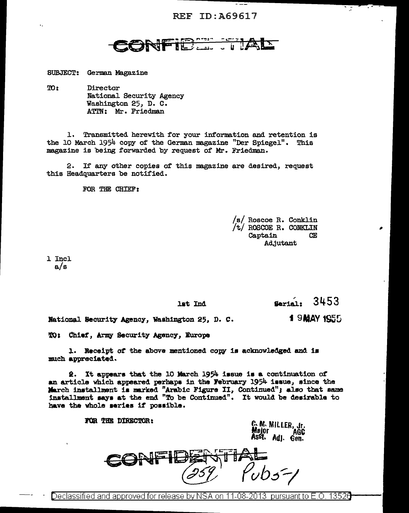## CONFIDENTIAL

SUBJECT: German Magazine

TO<sub>1</sub> Director National Security Agency Washington 25, D. C. ATTN: Mr. Friedman

1. Transmitted herewith for your information and retention is the 10 March 1954 copy of the German magazine "Der Spiegel". This magazine is being forwarded by request of Mr. Friedman.

2. If any other copies of this magazine are desired, request this Headquarters be notified.

FOR THE CHIEF:

/s/ Roscoe R. Conklin /t/ ROSCOE R. CONKLIN Captain **CE** Adjutant

1 Incl  $a/s$ 

lat Ind

3453 Serial:

15.

1 9 MAY 1955 National Security Agency, Washington 25, D. C.

TO: Chief, Army Security Agency, Europe

1. Receipt of the above mentioned copy is acknowledged and is much appreciated.

2. It appears that the 10 March 1954 issue is a continuation of an article which appeared perhaps in the February 1954 issue, since the March installment is marked "Arabic Figure II, Continued"; also that same installment says at the end "To be Continued". It would be desirable to have the whole series if possible.

FOR THE DIRECTOR:

G. M. MILLER, .gr. Major **AGC** majur AGC<br>Asst. Adj. Gen.